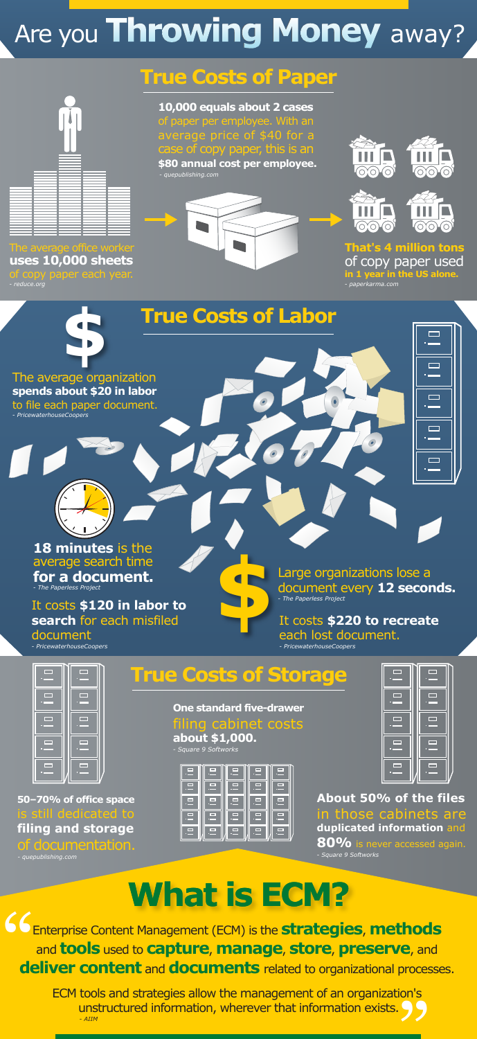### **True Costs of Labor**

**\$**

#### **18 minutes** is the average search time **for a document.**

*- The Paperless Project*



The average organization **spends about \$20 in labor** to file each paper document.

*- PricewaterhouseCoopers*

#### It costs **\$220 to recreate** each lost document.

*- PricewaterhouseCoopers*

| $\mathcal{L}(\mathcal{A})$ | $\sim 10$                         |
|----------------------------|-----------------------------------|
| art - 19                   | <u>a – I</u>                      |
| $\Box$                     | $\mathcal{L}(\mathcal{A})$        |
| <u>ransa</u>               | <b>Contract Contract Contract</b> |
| $\sim 10$<br>п             | $\sim$                            |
|                            |                                   |

#### It costs **\$120 in labor to search** for each misfiled document

*- PricewaterhouseCoopers*

Large organizations lose a document every **12 seconds.** *- The Paperless Project*

### **True Costs of Storage**

<u></u> Enterprise Content Management (ECM) is the **strategies**, **methods** and **tools** used to **capture**, **manage**, **store**, **preserve**, and **deliver content** and **documents** related to organizational processes.

**About 50% of the files** in those cabinets are **duplicated information** and **80%** is never accessed again. *- Square 9 Softworks*

**One standard five-drawer** filing cabinet costs **about \$1,000.**

| <u>ran</u><br>D,       | $\sim$<br>Ξ<br><u>a shekara ta 1999 a shekara t</u> |
|------------------------|-----------------------------------------------------|
| o<br><b>STATISTICS</b> | $\mathcal{L}_{\mathcal{A}}$<br>□                    |
| <b>Carl Co</b>         | <u>and</u><br>⊏                                     |
|                        |                                                     |



*- Square 9 Softworks*





**50–70% of office space**  is still dedicated to **filing and storage**  of documentation.

*- quepublishing.com*

## **What is ECM?**

" ECM tools and strategies allow the management of an organization's unstructured information, wherever that information exists. *- AIIM*

# Are you **Throwing Money** away?

The average office worker **uses 10,000 sheets**  of copy paper each year. *- reduce.org*

**10,000 equals about 2 cases**  of paper per employee. With an average price of \$40 for a case of copy paper, this is an **\$80 annual cost per employee.** *- quepublishing.com*







**That's 4 million tons**  of copy paper used **in 1 year in the US alone.**

*- paperkarma.com*

### **True Costs of Paper**